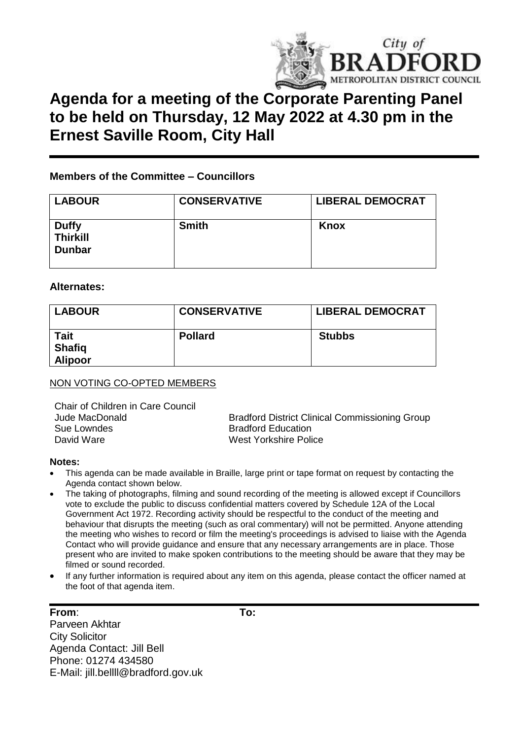

# **Agenda for a meeting of the Corporate Parenting Panel to be held on Thursday, 12 May 2022 at 4.30 pm in the Ernest Saville Room, City Hall**

### **Members of the Committee – Councillors**

| <b>LABOUR</b>                                    | <b>CONSERVATIVE</b> | <b>LIBERAL DEMOCRAT</b> |
|--------------------------------------------------|---------------------|-------------------------|
| <b>Duffy</b><br><b>Thirkill</b><br><b>Dunbar</b> | <b>Smith</b>        | Knox                    |

#### **Alternates:**

| <b>LABOUR</b>                                  | <b>CONSERVATIVE</b> | <b>LIBERAL DEMOCRAT</b> |
|------------------------------------------------|---------------------|-------------------------|
| <b>Tait</b><br><b>Shafiq</b><br><b>Alipoor</b> | <b>Pollard</b>      | <b>Stubbs</b>           |

#### NON VOTING CO-OPTED MEMBERS

Chair of Children in Care Council Sue Lowndes<br>
David Ware<br>
David Ware<br>
David Ware

Jude MacDonald Bradford District Clinical Commissioning Group West Yorkshire Police

#### **Notes:**

- This agenda can be made available in Braille, large print or tape format on request by contacting the Agenda contact shown below.
- The taking of photographs, filming and sound recording of the meeting is allowed except if Councillors vote to exclude the public to discuss confidential matters covered by Schedule 12A of the Local Government Act 1972. Recording activity should be respectful to the conduct of the meeting and behaviour that disrupts the meeting (such as oral commentary) will not be permitted. Anyone attending the meeting who wishes to record or film the meeting's proceedings is advised to liaise with the Agenda Contact who will provide guidance and ensure that any necessary arrangements are in place. Those present who are invited to make spoken contributions to the meeting should be aware that they may be filmed or sound recorded.
- If any further information is required about any item on this agenda, please contact the officer named at the foot of that agenda item.

# **From**: **To:**

Parveen Akhtar City Solicitor Agenda Contact: Jill Bell Phone: 01274 434580 E-Mail: jill.bellll@bradford.gov.uk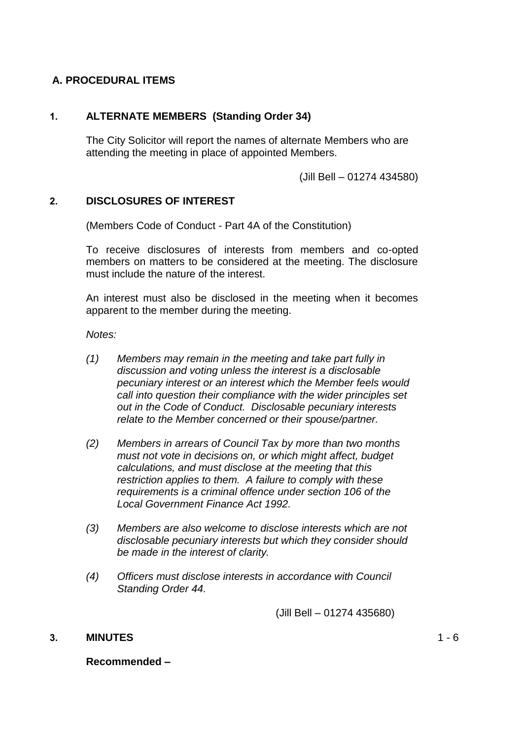# **A. PROCEDURAL ITEMS**

# **1. ALTERNATE MEMBERS (Standing Order 34)**

The City Solicitor will report the names of alternate Members who are attending the meeting in place of appointed Members.

(Jill Bell – 01274 434580)

# **2. DISCLOSURES OF INTEREST**

(Members Code of Conduct - Part 4A of the Constitution)

To receive disclosures of interests from members and co-opted members on matters to be considered at the meeting. The disclosure must include the nature of the interest.

An interest must also be disclosed in the meeting when it becomes apparent to the member during the meeting.

*Notes:*

- *(1) Members may remain in the meeting and take part fully in discussion and voting unless the interest is a disclosable pecuniary interest or an interest which the Member feels would call into question their compliance with the wider principles set out in the Code of Conduct. Disclosable pecuniary interests relate to the Member concerned or their spouse/partner.*
- *(2) Members in arrears of Council Tax by more than two months must not vote in decisions on, or which might affect, budget calculations, and must disclose at the meeting that this restriction applies to them. A failure to comply with these requirements is a criminal offence under section 106 of the Local Government Finance Act 1992.*
- *(3) Members are also welcome to disclose interests which are not disclosable pecuniary interests but which they consider should be made in the interest of clarity.*
- *(4) Officers must disclose interests in accordance with Council Standing Order 44.*

(Jill Bell – 01274 435680)

**3. MINUTES**

 $1 - 6$ 

#### **Recommended –**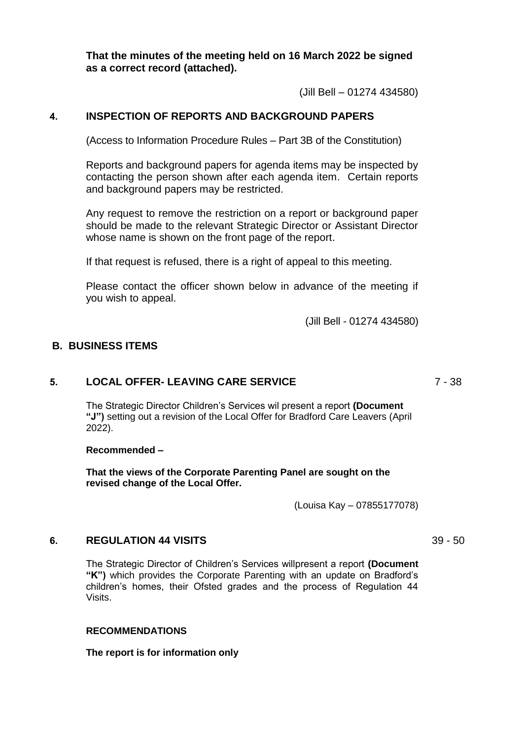**That the minutes of the meeting held on 16 March 2022 be signed as a correct record (attached).**

(Jill Bell – 01274 434580)

#### **4. INSPECTION OF REPORTS AND BACKGROUND PAPERS**

(Access to Information Procedure Rules – Part 3B of the Constitution)

Reports and background papers for agenda items may be inspected by contacting the person shown after each agenda item. Certain reports and background papers may be restricted.

Any request to remove the restriction on a report or background paper should be made to the relevant Strategic Director or Assistant Director whose name is shown on the front page of the report.

If that request is refused, there is a right of appeal to this meeting.

Please contact the officer shown below in advance of the meeting if you wish to appeal.

(Jill Bell - 01274 434580)

#### **B. BUSINESS ITEMS**

#### **5. LOCAL OFFER- LEAVING CARE SERVICE**

The Strategic Director Children's Services wil present a report **(Document "J")** setting out a revision of the Local Offer for Bradford Care Leavers (April 2022).

#### **Recommended –**

**That the views of the Corporate Parenting Panel are sought on the revised change of the Local Offer.**

(Louisa Kay – 07855177078)

#### **6. REGULATION 44 VISITS**

The Strategic Director of Children's Services willpresent a report **(Document "K")** which provides the Corporate Parenting with an update on Bradford's children's homes, their Ofsted grades and the process of Regulation 44 Visits.

#### **RECOMMENDATIONS**

**The report is for information only**

39 - 50

7 - 38